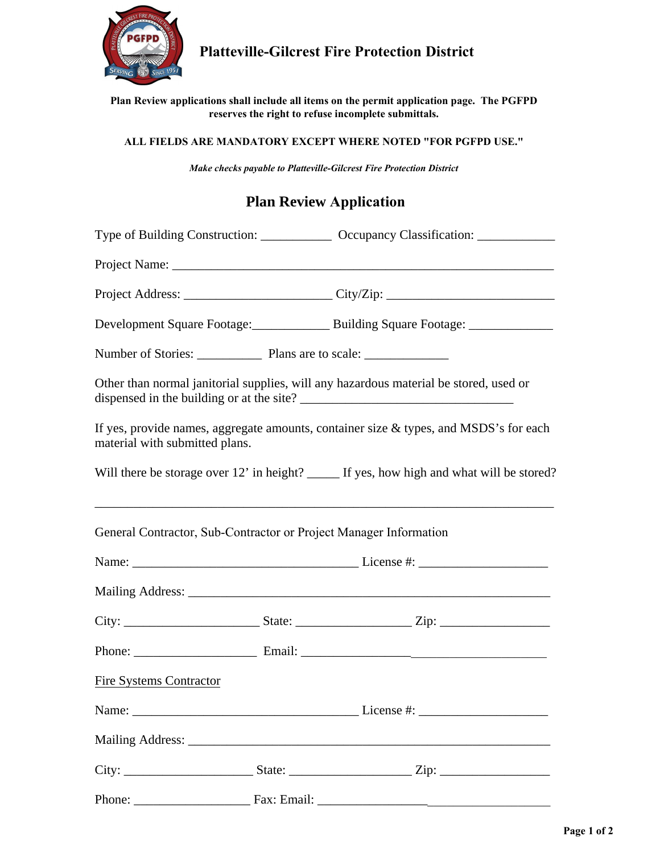

## **Platteville-Gilcrest Fire Protection District**

**Plan Review applications shall include all items on the permit application page. The PGFPD reserves the right to refuse incomplete submittals.**

## **ALL FIELDS ARE MANDATORY EXCEPT WHERE NOTED "FOR PGFPD USE."**

*Make checks payable to Platteville-Gilcrest Fire Protection District*

## **Plan Review Application**

|                                                                   |  | Type of Building Construction: _______________ Occupancy Classification: _____________    |  |
|-------------------------------------------------------------------|--|-------------------------------------------------------------------------------------------|--|
|                                                                   |  |                                                                                           |  |
|                                                                   |  |                                                                                           |  |
|                                                                   |  | Development Square Footage: Building Square Footage: ____________                         |  |
|                                                                   |  |                                                                                           |  |
|                                                                   |  | Other than normal janitorial supplies, will any hazardous material be stored, used or     |  |
| material with submitted plans.                                    |  | If yes, provide names, aggregate amounts, container size $\&$ types, and MSDS's for each  |  |
|                                                                   |  | Will there be storage over 12' in height? _____ If yes, how high and what will be stored? |  |
| General Contractor, Sub-Contractor or Project Manager Information |  |                                                                                           |  |
|                                                                   |  |                                                                                           |  |
|                                                                   |  |                                                                                           |  |
|                                                                   |  |                                                                                           |  |
|                                                                   |  |                                                                                           |  |
| <b>Fire Systems Contractor</b>                                    |  |                                                                                           |  |
|                                                                   |  |                                                                                           |  |
|                                                                   |  |                                                                                           |  |
|                                                                   |  |                                                                                           |  |
|                                                                   |  |                                                                                           |  |